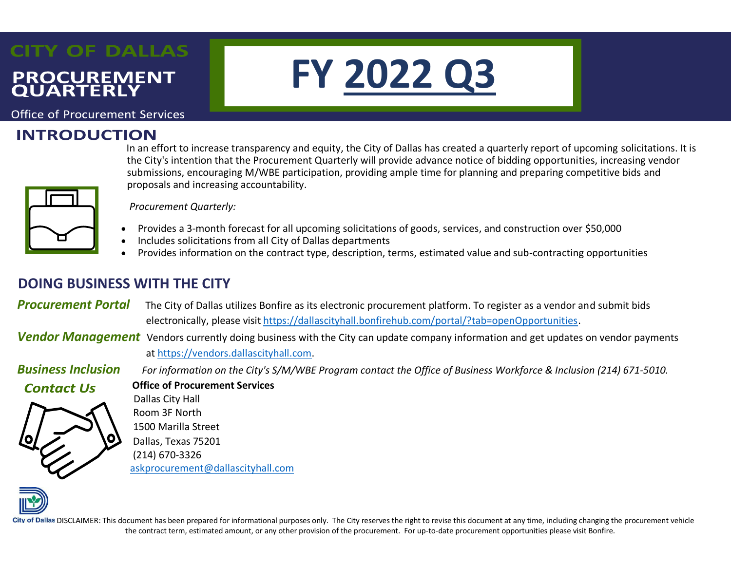# **CITY OF DALLAS PROCUREMENT**<br>QUARTERLY

**Office of Procurement Services** 

## **INTRODUCTION**

nt Services<br>|**ON**<br>In an effort to increase transparency and equity, the City of Dallas has created a quarterly report of upcoming solicitations. It is the City's intention that the Procurement Quarterly will provide advance notice of bidding opportunities, increasing vendor submissions, encouraging M/WBE participation, providing ample time for planning and preparing competitive bids and proposals and increasing accountability.

**FY 2022 Q3**



 *Procurement Quarterly:*

- Provides a 3-month forecast for all upcoming solicitations of goods, services, and construction over \$50,000
- Includes solicitations from all City of Dallas departments
- Provides information on the contract type, description, terms, estimated value and sub-contracting opportunities

### **DOING BUSINESS WITH THE CITY**

**Procurement Portal** The City of Dallas utilizes Bonfire as its electronic procurement platform. To register as a vendor and submit bids electronically, please visit [https://dallascityhall.bonfirehub.com/portal/?tab=openOpportunities.](https://dallascityhall.bonfirehub.com/portal/?tab=openOpportunities)

*Vendor Management* Vendors currently doing business with the City can update company information and get updates on vendor payments at [https://vendors.dallascityhall.com.](https://vendors.dallascityhall.com/)

*Business Inclusion For information on the City's S/M/WBE Program contact the Office of Business Workforce & Inclusion (214) 671-5010.*

**Contact Us** 

**Office of Procurement Services** Dallas City Hall Room 3F North 1500 Marilla Street Dallas, Texas 75201 (214) 670-3326 [askprocurement@dallascityhall.com](mailto:askprocurement@dallascityhall.com)



City of Dallas DISCLAIMER: This document has been prepared for informational purposes only. The City reserves the right to revise this document at any time, including changing the procurement vehicle the contract term, estimated amount, or any other provision of the procurement. For up-to-date procurement opportunities please visit Bonfire.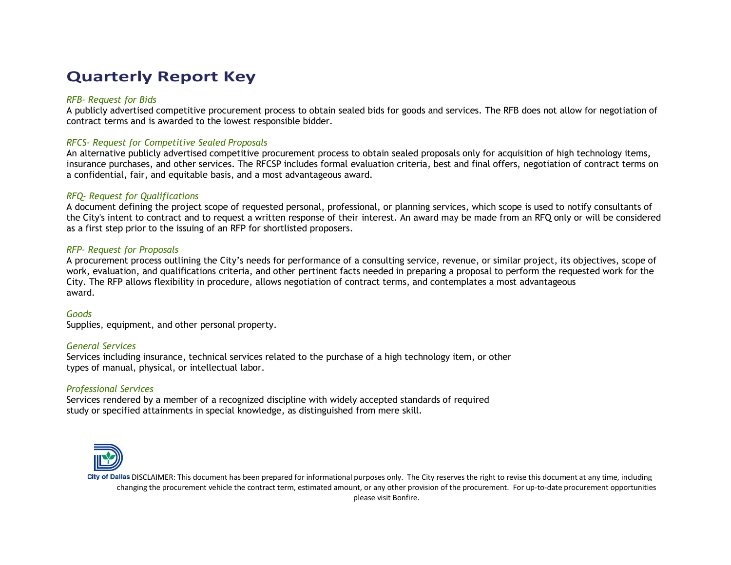## **Quarterly Report Key**

#### *RFB- Request for Bids*

A publicly advertised competitive procurement process to obtain sealed bids for goods and services. The RFB does not allow for negotiation of contract terms and is awarded to the lowest responsible bidder.

#### *RFCS- Request for Competitive Sealed Proposals*

An alternative publicly advertised competitive procurement process to obtain sealed proposals only for acquisition of high technology items, insurance purchases, and other services. The RFCSP includes formal evaluation criteria, best and final offers, negotiation of contract terms on a confidential, fair, and equitable basis, and a most advantageous award.

#### *RFQ- Request for Qualifications*

A document defining the project scope of requested personal, professional, or planning services, which scope is used to notify consultants of the City's intent to contract and to request a written response of their interest. An award may be made from an RFQ only or will be considered as a first step prior to the issuing of an RFP for shortlisted proposers.

#### *RFP- Request for Proposals*

A procurement process outlining the City's needs for performance of a consulting service, revenue, or similar project, its objectives, scope of work, evaluation, and qualifications criteria, and other pertinent facts needed in preparing a proposal to perform the requested work for the City. The RFP allows flexibility in procedure, allows negotiation of contract terms, and contemplates a most advantageous award.

#### *Goods*

Supplies, equipment, and other personal property.

#### *General Services*

Services including insurance, technical services related to the purchase of a high technology item, or other types of manual, physical, or intellectual labor.

#### *Professional Services*

Services rendered by a member of a recognized discipline with widely accepted standards of required study or specified attainments in special knowledge, as distinguished from mere skill.



City of Dallas DISCLAIMER: This document has been prepared for informational purposes only. The City reserves the right to revise this document at any time, including changing the procurement vehicle the contract term, estimated amount, or any other provision of the procurement. For up-to-date procurement opportunities please visit Bonfire.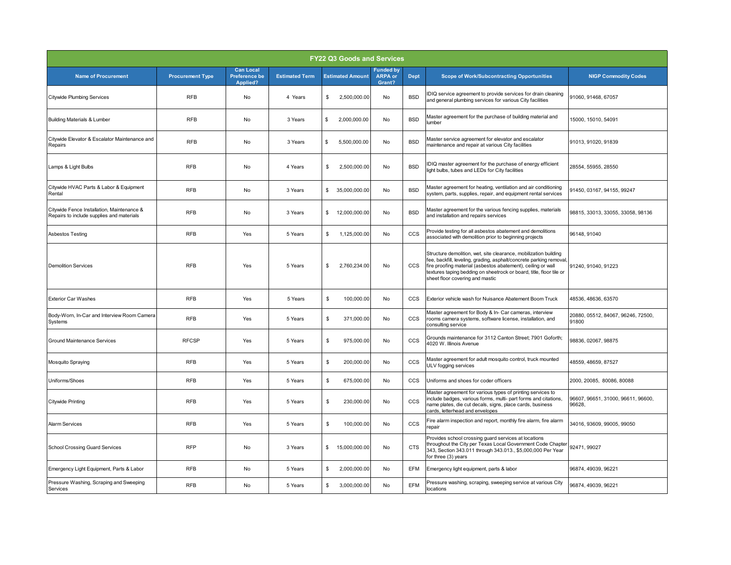| <b>FY22 Q3 Goods and Services</b>                                                       |                         |                                                      |                       |                               |                                              |             |                                                                                                                                                                                                                                                                                                                   |                                              |  |
|-----------------------------------------------------------------------------------------|-------------------------|------------------------------------------------------|-----------------------|-------------------------------|----------------------------------------------|-------------|-------------------------------------------------------------------------------------------------------------------------------------------------------------------------------------------------------------------------------------------------------------------------------------------------------------------|----------------------------------------------|--|
| <b>Name of Procurement</b>                                                              | <b>Procurement Type</b> | <b>Can Local</b><br><b>Preference be</b><br>Applied? | <b>Estimated Term</b> | <b>Estimated Amount</b>       | <b>Funded by</b><br><b>ARPA or</b><br>Grant? | <b>Dept</b> | <b>Scope of Work/Subcontracting Opportunities</b>                                                                                                                                                                                                                                                                 | <b>NIGP Commodity Codes</b>                  |  |
| <b>Citywide Plumbing Services</b>                                                       | <b>RFB</b>              | No                                                   | 4 Years               | \$<br>2,500,000.00            | No                                           | <b>BSD</b>  | IDIQ service agreement to provide services for drain cleaning<br>and general plumbing services for various City facilities                                                                                                                                                                                        | 91060, 91468, 67057                          |  |
| <b>Building Materials &amp; Lumber</b>                                                  | <b>RFB</b>              | No                                                   | 3 Years               | \$<br>2,000,000.00            | No                                           | <b>BSD</b>  | Master agreement for the purchase of building material and<br>lumber                                                                                                                                                                                                                                              | 15000, 15010, 54091                          |  |
| Citywide Elevator & Escalator Maintenance and<br>Repairs                                | <b>RFB</b>              | No                                                   | 3 Years               | \$<br>5,500,000.00            | No                                           | <b>BSD</b>  | Master service agreement for elevator and escalator<br>maintenance and repair at various City facilities                                                                                                                                                                                                          | 91013, 91020, 91839                          |  |
| Lamps & Light Bulbs                                                                     | <b>RFB</b>              | No                                                   | 4 Years               | \$<br>2,500,000.00            | No                                           | <b>BSD</b>  | IDIQ master agreement for the purchase of energy efficient<br>light bulbs, tubes and LEDs for City facilities                                                                                                                                                                                                     | 28554, 55955, 28550                          |  |
| Citywide HVAC Parts & Labor & Equipment<br>Rental                                       | <b>RFB</b>              | No                                                   | 3 Years               | \$<br>35,000,000.00           | No                                           | <b>BSD</b>  | Master agreement for heating, ventilation and air conditioning<br>system, parts, supplies, repair, and equipment rental services                                                                                                                                                                                  | 91450, 03167, 94155, 99247                   |  |
| Citywide Fence Installation, Maintenance &<br>Repairs to include supplies and materials | <b>RFB</b>              | No                                                   | 3 Years               | \$<br>12,000,000.00           | No                                           | <b>BSD</b>  | Master agreement for the various fencing supplies, materials<br>and installation and repairs services                                                                                                                                                                                                             | 98815, 33013, 33055, 33058, 98136            |  |
| Asbestos Testing                                                                        | <b>RFB</b>              | Yes                                                  | 5 Years               | 1,125,000.00<br>\$            | No                                           | <b>CCS</b>  | Provide testing for all asbestos abatement and demolitions<br>associated with demolition prior to beginning projects                                                                                                                                                                                              | 96148, 91040                                 |  |
| <b>Demolition Services</b>                                                              | <b>RFB</b>              | Yes                                                  | 5 Years               | 2,760,234.00<br>\$            | No                                           | CCS         | Structure demolition, wet, site clearance, mobilization building<br>fee, backfill, leveling, grading, asphalt/concrete parking removal,<br>fire proofing material (asbestos abatement), ceiling or wall<br>textures taping bedding on sheetrock or board, title, floor tile or<br>sheet floor covering and mastic | 91240, 91040, 91223                          |  |
| <b>Exterior Car Washes</b>                                                              | <b>RFB</b>              | Yes                                                  | 5 Years               | \$<br>100,000.00              | No                                           | <b>CCS</b>  | Exterior vehicle wash for Nuisance Abatement Boom Truck                                                                                                                                                                                                                                                           | 48536, 48636, 63570                          |  |
| Body-Worn, In-Car and Interview Room Camera<br>Systems                                  | <b>RFB</b>              | Yes                                                  | 5 Years               | 371,000.00<br>\$              | No                                           | ccs         | Master agreement for Body & In- Car cameras, interview<br>rooms camera systems, software license, installation, and<br>consulting service                                                                                                                                                                         | 20880, 05512, 84067, 96246, 72500,<br>91800  |  |
| <b>Ground Maintenance Services</b>                                                      | <b>RFCSP</b>            | Yes                                                  | 5 Years               | 975,000.00<br>\$              | No                                           | <b>CCS</b>  | Grounds maintenance for 3112 Canton Street; 7901 Goforth;<br>4020 W. Illinois Avenue                                                                                                                                                                                                                              | 98836, 02067, 98875                          |  |
| Mosquito Spraying                                                                       | <b>RFB</b>              | Yes                                                  | 5 Years               | \$<br>200,000.00              | No                                           | CCS         | Master agreement for adult mosquito control, truck mounted<br>ULV fogging services                                                                                                                                                                                                                                | 48559, 48659, 87527                          |  |
| Uniforms/Shoes                                                                          | <b>RFB</b>              | Yes                                                  | 5 Years               | \$<br>675,000.00              | No                                           | <b>CCS</b>  | Uniforms and shoes for coder officers                                                                                                                                                                                                                                                                             | 2000, 20085, 80086, 80088                    |  |
| Citywide Printing                                                                       | <b>RFB</b>              | Yes                                                  | 5 Years               | \$<br>230,000.00              | No                                           | CCS         | Master agreement for various types of printing services to<br>include badges, various forms, multi- part forms and citations,<br>name plates, die cut decals, signs, place cards, business<br>cards, letterhead and envelopes                                                                                     | 96607, 96651, 31000, 96611, 96600,<br>96628. |  |
| <b>Alarm Services</b>                                                                   | <b>RFB</b>              | Yes                                                  | 5 Years               | 100,000.00<br>\$              | No                                           | CCS         | Fire alarm inspection and report, monthly fire alarm, fire alarm<br>repair                                                                                                                                                                                                                                        | 34016, 93609, 99005, 99050                   |  |
| School Crossing Guard Services                                                          | <b>RFP</b>              | <b>No</b>                                            | 3 Years               | 15,000,000.00<br>$\mathbb{S}$ | No                                           | <b>CTS</b>  | Provides school crossing guard services at locations<br>throughout the City per Texas Local Government Code Chapter<br>343, Section 343.011 through 343.013., \$5,000,000 Per Year<br>for three (3) years                                                                                                         | 92471, 99027                                 |  |
| Emergency Light Equipment, Parts & Labor                                                | <b>RFB</b>              | No                                                   | 5 Years               | \$<br>2,000,000.00            | No                                           | <b>EFM</b>  | Emergency light equipment, parts & labor                                                                                                                                                                                                                                                                          | 96874, 49039, 96221                          |  |
| Pressure Washing, Scraping and Sweeping<br>Services                                     | <b>RFB</b>              | No                                                   | 5 Years               | \$<br>3,000,000.00            | No                                           | EFM         | Pressure washing, scraping, sweeping service at various City<br>locations                                                                                                                                                                                                                                         | 96874, 49039, 96221                          |  |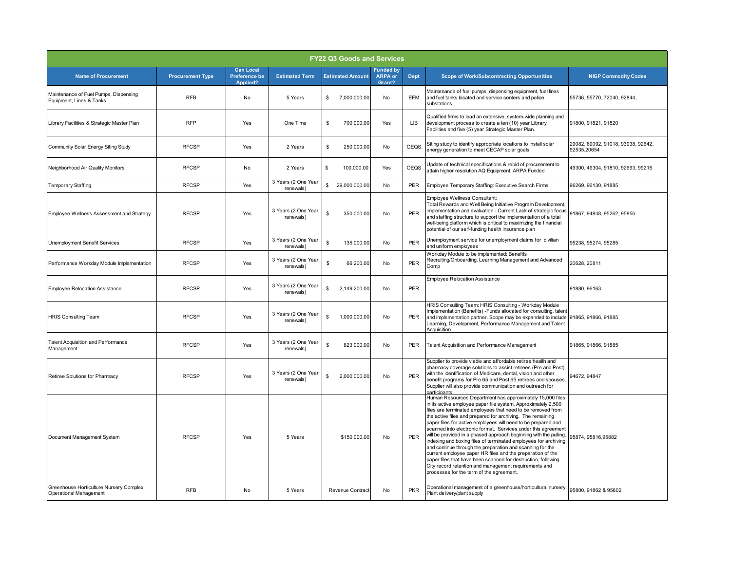| <b>FY22 Q3 Goods and Services</b>                                 |                         |                                                      |                                  |                                |                                              |             |                                                                                                                                                                                                                                                                                                                                                                                                                                                                                                                                                                                                                                                                                                                                                                                                                                    |                                                   |  |
|-------------------------------------------------------------------|-------------------------|------------------------------------------------------|----------------------------------|--------------------------------|----------------------------------------------|-------------|------------------------------------------------------------------------------------------------------------------------------------------------------------------------------------------------------------------------------------------------------------------------------------------------------------------------------------------------------------------------------------------------------------------------------------------------------------------------------------------------------------------------------------------------------------------------------------------------------------------------------------------------------------------------------------------------------------------------------------------------------------------------------------------------------------------------------------|---------------------------------------------------|--|
| <b>Name of Procurement</b>                                        | <b>Procurement Type</b> | <b>Can Local</b><br><b>Preference be</b><br>Applied? | <b>Estimated Term</b>            | <b>Estimated Amount</b>        | <b>Funded by</b><br><b>ARPA</b> or<br>Grant? | <b>Dept</b> | <b>Scope of Work/Subcontracting Opportunities</b>                                                                                                                                                                                                                                                                                                                                                                                                                                                                                                                                                                                                                                                                                                                                                                                  | <b>NIGP Commodity Codes</b>                       |  |
| Maintenance of Fuel Pumps, Dispensing<br>Equipment, Lines & Tanks | <b>RFB</b>              | No                                                   | 5 Years                          | 7,000,000.00<br>\$             | No                                           | EFM         | Maintenance of fuel pumps, dispensing equipment, fuel lines<br>and fuel tanks located and service centers and police<br>substations                                                                                                                                                                                                                                                                                                                                                                                                                                                                                                                                                                                                                                                                                                | 55736, 55770, 72040, 92844,                       |  |
| Library Facilities & Strategic Master Plan                        | <b>RFP</b>              | Yes                                                  | One Time                         | 700,000.00<br>\$               | Yes                                          | LIB         | Qualified firms to lead an extensive, system-wide planning and<br>development process to create a ten (10) year Library<br>Facilities and five (5) year Strategic Master Plan.                                                                                                                                                                                                                                                                                                                                                                                                                                                                                                                                                                                                                                                     | 91800, 91821, 91820                               |  |
| Community Solar Energy Siting Study                               | <b>RFCSP</b>            | Yes                                                  | 2 Years                          | 250,000.00<br>\$               | No                                           | <b>OEQS</b> | Siting study to identify appropriate locations to install solar<br>energy generation to meet CECAP solar goals                                                                                                                                                                                                                                                                                                                                                                                                                                                                                                                                                                                                                                                                                                                     | 29082, 69092, 91018, 93938, 92642,<br>92535,20654 |  |
| Neighborhood Air Quality Monitors                                 | <b>RFCSP</b>            | No                                                   | 2 Years                          | 100.000.00<br>s                | Yes                                          | <b>OEQS</b> | Update of technical specifications & rebid of procurement to<br>attain higher resolution AQ Equipment. ARPA Funded                                                                                                                                                                                                                                                                                                                                                                                                                                                                                                                                                                                                                                                                                                                 | 49300, 49304, 91810, 92693, 99215                 |  |
| <b>Temporary Staffing</b>                                         | <b>RFCSP</b>            | Yes                                                  | 3 Years (2 One Year<br>renewals) | $\mathsf{\$}$<br>29,000,000.00 | No                                           | PER         | Employee Temporary Staffing: Executive Search Firms                                                                                                                                                                                                                                                                                                                                                                                                                                                                                                                                                                                                                                                                                                                                                                                | 96269, 96130, 91885                               |  |
| <b>Employee Wellness Assessment and Strategy</b>                  | <b>RFCSP</b>            | Yes                                                  | 3 Years (2 One Year<br>renewals) | \$<br>350,000.00               | No                                           | PER         | <b>Employee Wellness Consultant:</b><br>Total Rewards and Well Being Initiative Program Development,<br>implementation and evaluation - Current Lack of strategic focus<br>and staffing structure to support the implementation of a total<br>well-being platform which is critical to maximizing the financial<br>potential of our self-funding health insurance plan                                                                                                                                                                                                                                                                                                                                                                                                                                                             | 91867, 94848, 95262, 95856                        |  |
| Unemployment Benefit Services                                     | <b>RFCSP</b>            | Yes                                                  | 3 Years (2 One Year<br>renewals) | \$<br>135,000.00               | <b>No</b>                                    | PER         | Unemployment service for unemployment claims for civilian<br>and uniform employees                                                                                                                                                                                                                                                                                                                                                                                                                                                                                                                                                                                                                                                                                                                                                 | 95238, 95274, 95285                               |  |
| Performance Workday Module Implementation                         | <b>RFCSP</b>            | Yes                                                  | 3 Years (2 One Year<br>renewals) | \$<br>66,200.00                | No                                           | PER         | Workday Module to be implemented: Benefits<br>Recruiting/Onboarding, Learning Management and Advanced<br>Comp                                                                                                                                                                                                                                                                                                                                                                                                                                                                                                                                                                                                                                                                                                                      | 20628, 20811                                      |  |
| <b>Employee Relocation Assistance</b>                             | <b>RFCSP</b>            | Yes                                                  | 3 Years (2 One Year<br>renewals) | \$<br>2,149,200.00             | No                                           | PER         | <b>Employee Relocation Assistance</b>                                                                                                                                                                                                                                                                                                                                                                                                                                                                                                                                                                                                                                                                                                                                                                                              | 91880, 96163                                      |  |
| <b>HRIS Consulting Team</b>                                       | <b>RFCSP</b>            | Yes                                                  | 3 Years (2 One Year<br>renewals) | \$<br>1,000,000.00             | No                                           | PER         | HRIS Consulting Team: HRIS Consulting - Workday Module<br>Implementation (Benefits) - Funds allocated for consulting, talent<br>and implementation partner. Scope may be expanded to include 91865, 91866, 91885<br>Learning, Development, Performance Management and Talent<br>Acquisition                                                                                                                                                                                                                                                                                                                                                                                                                                                                                                                                        |                                                   |  |
| <b>Talent Acquisition and Performance</b><br>Management           | <b>RFCSP</b>            | Yes                                                  | 3 Years (2 One Year<br>renewals) | \$<br>823,000.00               | No                                           | PER         | Talent Acquisition and Performance Management                                                                                                                                                                                                                                                                                                                                                                                                                                                                                                                                                                                                                                                                                                                                                                                      | 91865, 91866, 91885                               |  |
| Retiree Solutions for Pharmacy                                    | <b>RFCSP</b>            | Yes                                                  | 3 Years (2 One Year<br>renewals) | \$<br>2,000,000.00             | No                                           | PER         | Supplier to provide viable and affordable retiree health and<br>pharmacy coverage solutions to assist retirees (Pre and Post)<br>with the identification of Medicare, dental, vision and other<br>benefit programs for Pre 65 and Post 65 retirees and spouses.<br>Supplier will also provide communication and outreach for<br>participants.                                                                                                                                                                                                                                                                                                                                                                                                                                                                                      | 94672, 94847                                      |  |
| Document Management System                                        | <b>RFCSP</b>            | Yes                                                  | 5 Years                          | \$150,000.00                   | No                                           | PER         | Human Resources Department has approximately 15,000 files<br>in its active employee paper file system. Approximately 2,500<br>files are terminated employees that need to be removed from<br>the active files and prepared for archiving. The remaining<br>paper files for active employees will need to be prepared and<br>scanned into electronic format. Services under this agreement<br>will be provided in a phased approach beginning with the pulling,<br>indexing and boxing files of terminated employees for archiving<br>and continue through the preparation and scanning for the<br>current employee paper HR files and the preparation of the<br>paper files that have been scanned for destruction, following<br>City record retention and management requirements and<br>processes for the term of the agreement. | 95874, 95816, 95882                               |  |
| Greenhouse Horticulture Nursery Complex<br>Operational Management | <b>RFB</b>              | No                                                   | 5 Years                          | Revenue Contract               | No                                           | <b>PKR</b>  | Operational management of a greenhouse/horticultural nursery.<br>Plant delivery/plant supply                                                                                                                                                                                                                                                                                                                                                                                                                                                                                                                                                                                                                                                                                                                                       | 95800, 91862 & 95802                              |  |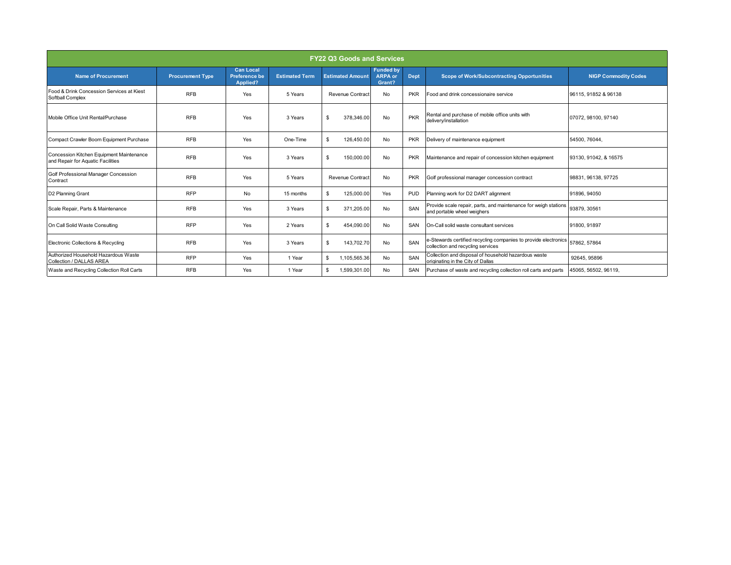| <b>FY22 Q3 Goods and Services</b>                                             |                         |                                                      |                       |                         |                                              |             |                                                                                                      |                             |
|-------------------------------------------------------------------------------|-------------------------|------------------------------------------------------|-----------------------|-------------------------|----------------------------------------------|-------------|------------------------------------------------------------------------------------------------------|-----------------------------|
| <b>Name of Procurement</b>                                                    | <b>Procurement Type</b> | <b>Can Local</b><br><b>Preference be</b><br>Applied? | <b>Estimated Term</b> | <b>Estimated Amount</b> | <b>Funded by</b><br><b>ARPA or</b><br>Grant? | <b>Dept</b> | <b>Scope of Work/Subcontracting Opportunities</b>                                                    | <b>NIGP Commodity Codes</b> |
| Food & Drink Concession Services at Kiest<br>Softball Complex                 | <b>RFB</b>              | Yes                                                  | 5 Years               | <b>Revenue Contract</b> | No                                           | <b>PKR</b>  | Food and drink concessionaire service                                                                | 96115, 91852 & 96138        |
| Mobile Office Unit Rental/Purchase                                            | <b>RFB</b>              | Yes                                                  | 3 Years               | 378.346.00<br>\$        | No                                           | <b>PKR</b>  | Rental and purchase of mobile office units with<br>delivery/installation                             | 07072, 98100, 97140         |
| Compact Crawler Boom Equipment Purchase                                       | <b>RFB</b>              | Yes                                                  | One-Time              | 126.450.00<br>\$        | No                                           | <b>PKR</b>  | Delivery of maintenance equipment                                                                    | 54500.76044.                |
| Concession Kitchen Equipment Maintenance<br>and Repair for Aquatic Facilities | <b>RFB</b>              | Yes                                                  | 3 Years               | \$<br>150.000.00        | No                                           | <b>PKR</b>  | Maintenance and repair of concession kitchen equipment                                               | 93130.91042.&16575          |
| Golf Professional Manager Concession<br>Contract                              | <b>RFB</b>              | Yes                                                  | 5 Years               | Revenue Contract        | No                                           | <b>PKR</b>  | Golf professional manager concession contract                                                        | 98831, 96138, 97725         |
| D2 Planning Grant                                                             | <b>RFP</b>              | No                                                   | 15 months             | 125,000.00<br>\$        | Yes                                          | <b>PUD</b>  | Planning work for D2 DART alignment                                                                  | 91896, 94050                |
| Scale Repair, Parts & Maintenance                                             | <b>RFB</b>              | Yes                                                  | 3 Years               | 371.205.00<br>\$        | No                                           | SAN         | Provide scale repair, parts, and maintenance for weigh stations<br>and portable wheel weighers       | 93879, 30561                |
| On Call Solid Waste Consulting                                                | <b>RFP</b>              | Yes                                                  | 2 Years               | 454.090.00<br>\$        | No                                           | SAN         | On-Call solid waste consultant services                                                              | 91800, 91897                |
| Electronic Collections & Recycling                                            | <b>RFB</b>              | Yes                                                  | 3 Years               | 143,702.70<br>\$        | <b>No</b>                                    | SAN         | e-Stewards certified recycling companies to provide electronics<br>collection and recycling services | 57862.57864                 |
| Authorized Household Hazardous Waste<br>Collection / DALLAS AREA              | <b>RFP</b>              | Yes                                                  | 1 Year                | 1,105,565.36<br>\$      | No                                           | SAN         | Collection and disposal of household hazardous waste<br>originating in the City of Dallas            | 92645, 95896                |
| Waste and Recycling Collection Roll Carts                                     | <b>RFB</b>              | Yes                                                  | 1 Year                | 1,599,301.00<br>S       | No                                           | SAN         | Purchase of waste and recycling collection roll carts and parts                                      | 45065, 56502, 96119,        |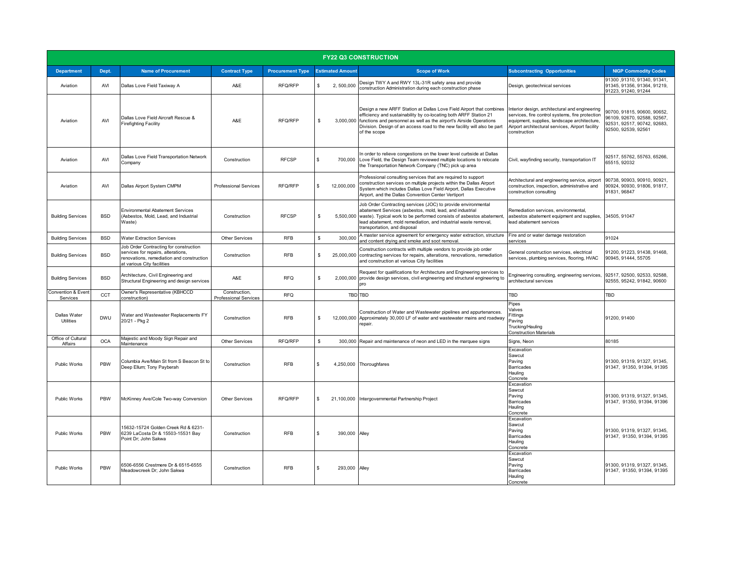| <b>FY22 Q3 CONSTRUCTION</b>    |            |                                                                                                                                                         |                                               |                         |                         |                                                                                                                                                                                                                                                                                                                        |                                                                                                                                                                                                                       |                                                                                                                  |
|--------------------------------|------------|---------------------------------------------------------------------------------------------------------------------------------------------------------|-----------------------------------------------|-------------------------|-------------------------|------------------------------------------------------------------------------------------------------------------------------------------------------------------------------------------------------------------------------------------------------------------------------------------------------------------------|-----------------------------------------------------------------------------------------------------------------------------------------------------------------------------------------------------------------------|------------------------------------------------------------------------------------------------------------------|
| <b>Department</b>              | Dept.      | <b>Name of Procurement</b>                                                                                                                              | <b>Contract Type</b>                          | <b>Procurement Type</b> | <b>Estimated Amount</b> | <b>Scope of Work</b>                                                                                                                                                                                                                                                                                                   | <b>Subcontracting Opportunities</b>                                                                                                                                                                                   | <b>NIGP Commodity Codes</b>                                                                                      |
| Aviation                       | AVI        | Dallas Love Field Taxiway A                                                                                                                             | A&E                                           | RFQ/RFP                 | \$.<br>2,500,000        | Design TWY A and RWY 13L-31R safety area and provide<br>construction Administration during each construction phase                                                                                                                                                                                                     | Design, geotechnical services                                                                                                                                                                                         | 91300, 91310, 91340, 91341,<br>91345, 91356, 91364, 91219,<br>91223.91240.91244                                  |
| Aviation                       | AVI        | Dallas Love Field Aircraft Rescue &<br><b>Firefighting Facility</b>                                                                                     | A&E                                           | RFO/RFP                 | S.                      | Design a new ARFF Station at Dallas Love Field Airport that combines<br>efficiency and sustainability by co-locating both ARFF Station 21<br>3,000,000 functions and personnel as well as the airport's Airside Operations<br>Division. Design of an access road to the new facility will also be part<br>of the scope | Interior design, architectural and engineering<br>services, fire control systems, fire protection<br>equipment, supplies, landscape architecture,<br>Airport architectural services, Airport facility<br>construction | 90700, 91815, 90600, 90652,<br>96109, 92670, 92588, 92567,<br>92531, 92517, 90742, 92683,<br>92500, 92539, 92561 |
| Aviation                       | AVI        | Dallas Love Field Transportation Network<br>Company                                                                                                     | Construction                                  | <b>RFCSP</b>            | \$<br>700.000           | In order to relieve congestions on the lower level curbside at Dallas<br>Love Field, the Design Team reviewed multiple locations to relocate<br>the Transportation Network Company (TNC) pick up area                                                                                                                  | Civil, wayfinding security, transportation IT                                                                                                                                                                         | 92517, 55762, 55763, 65266,<br>65515, 92032                                                                      |
| Aviation                       | AVI        | Dallas Airport System CMPM                                                                                                                              | <b>Professional Services</b>                  | RFQ/RFP                 | 12,000,000<br>\$.       | Professional consulting services that are required to support<br>construction services on multiple projects within the Dallas Airport<br>System which includes Dallas Love Field Airport, Dallas Executive<br>Airport, and the Dallas Convention Center Vertiport                                                      | Architectural and engineering service, airport<br>construction, inspection, administrative and<br>construction consulting                                                                                             | 90738, 90903, 90910, 90921,<br>90924.90930.91806.91817.<br>91831, 96847                                          |
| <b>Building Services</b>       | <b>BSD</b> | <b>Environmental Abatement Services</b><br>(Asbestos, Mold, Lead, and Industrial<br>Waste)                                                              | Construction                                  | <b>RFCSP</b>            | s.                      | Job Order Contracting services (JOC) to provide environmental<br>abatement Services (asbestos, mold, lead, and industrial<br>5,500,000 waste). Typical work to be performed consists of asbestos abatement<br>lead abatement, mold remediation, and industrial waste removal,<br>transportation, and disposal          | Remediation services, environmental,<br>asbestos abatement equipment and supplies,<br>lead abatement services                                                                                                         | 34505, 91047                                                                                                     |
| <b>Building Services</b>       | <b>BSD</b> | <b>Water Extraction Services</b>                                                                                                                        | <b>Other Services</b>                         | <b>RFB</b>              | \$<br>300,000           | A master service agreement for emergency water extraction, structure<br>and content drying and smoke and soot removal.                                                                                                                                                                                                 | Fire and or water damage restoration<br>services                                                                                                                                                                      | 91024                                                                                                            |
| <b>Building Services</b>       | <b>BSD</b> | Job Order Contracting for construction<br>services for repairs, alterations,<br>renovations, remediation and construction<br>at various City facilities | Construction                                  | <b>RFB</b>              | 25,000,000<br>s.        | Construction contracts with multiple vendors to provide job order<br>contracting services for repairs, alterations, renovations, remediation<br>and construction at various City facilities                                                                                                                            | General construction services, electrical<br>services, plumbing services, flooring, HVAC                                                                                                                              | 91200, 91223, 91438, 91468,<br>90945, 91444, 55705                                                               |
| <b>Building Services</b>       | <b>BSD</b> | Architecture, Civil Engineering and<br>Structural Engineering and design services                                                                       | A&E                                           | <b>RFQ</b>              | S.                      | Request for qualifications for Architecture and Engineering services to<br>2,000,000 provide design services, civil engineering and structural engineering to<br>pro                                                                                                                                                   | Engineering consulting, engineering services,<br>architectural services                                                                                                                                               | 92517, 92500, 92533, 92588,<br>92555, 95242, 91842, 90600                                                        |
| Convention & Event<br>Services | CCT        | Owner's Representative (KBHCCD<br>construction)                                                                                                         | Construction,<br><b>Professional Services</b> | <b>RFQ</b>              |                         | TBD TBD                                                                                                                                                                                                                                                                                                                | <b>TBD</b>                                                                                                                                                                                                            | TBD                                                                                                              |
| Dallas Water<br>Utilities      | <b>DWU</b> | Water and Wastewater Replacements FY<br>20/21 - Pkg 2                                                                                                   | Construction                                  | <b>RFB</b>              | s.<br>12,000,000        | Construction of Water and Wastewater pipelines and appurtenances.<br>Approximately 30,000 LF of water and wastewater mains and roadway<br>repair.                                                                                                                                                                      | Pipes<br>Valves<br>Fittings<br>Paving<br>Trucking/Hauling<br><b>Construction Materials</b>                                                                                                                            | 91200, 91400                                                                                                     |
| Office of Cultural<br>Affairs  | <b>OCA</b> | Majestic and Moody Sign Repair and<br>Maintenance                                                                                                       | <b>Other Services</b>                         | RFQ/RFP                 | Ŝ.                      | 300,000 Repair and maintenance of neon and LED in the marquee signs                                                                                                                                                                                                                                                    | Signs, Neon                                                                                                                                                                                                           | 80185                                                                                                            |
| Public Works                   | PBW        | Columbia Ave/Main St from S Beacon St to<br>Deep Ellum; Tony Payberah                                                                                   | Construction                                  | <b>RFB</b>              | \$.<br>4,250,000        | Thoroughfares                                                                                                                                                                                                                                                                                                          | Excavation<br>Sawcut<br>Paving<br><b>Barricades</b><br>Hauling<br>Concrete                                                                                                                                            | 91300, 91319, 91327, 91345,<br>91347, 91350, 91394, 91395                                                        |
| Public Works                   | PBW        | McKinney Ave/Cole Two-way Conversion                                                                                                                    | <b>Other Services</b>                         | RFQ/RFP                 | \$<br>21,100,000        | Intergovernmental Partnership Project                                                                                                                                                                                                                                                                                  | Excavation<br>Sawcut<br>Paving<br>Barricades<br>Hauling<br>Concrete                                                                                                                                                   | 91300, 91319, 91327, 91345,<br>91347, 91350, 91394, 91396                                                        |
| Public Works                   | PBW        | 15632-15724 Golden Creek Rd & 6231-<br>6239 LaCosta Dr & 15503-15531 Bay<br>Point Dr; John Sakwa                                                        | Construction                                  | <b>RFB</b>              | \$<br>390,000           | Alley                                                                                                                                                                                                                                                                                                                  | Excavation<br>Sawcut<br>Paving<br>Barricades<br>Hauling<br>Concrete                                                                                                                                                   | 91300, 91319, 91327, 91345,<br>91347, 91350, 91394, 91395                                                        |
| Public Works                   | PBW        | 6506-6556 Crestmere Dr & 6515-6555<br>Meadowcreek Dr: John Sakwa                                                                                        | Construction                                  | <b>RFB</b>              | 293,000<br>$\mathbf{s}$ | Alley                                                                                                                                                                                                                                                                                                                  | Excavation<br>Sawcut<br>Paving<br><b>Barricades</b><br>Hauling<br>Concrete                                                                                                                                            | 91300, 91319, 91327, 91345,<br>91347, 91350, 91394, 91395                                                        |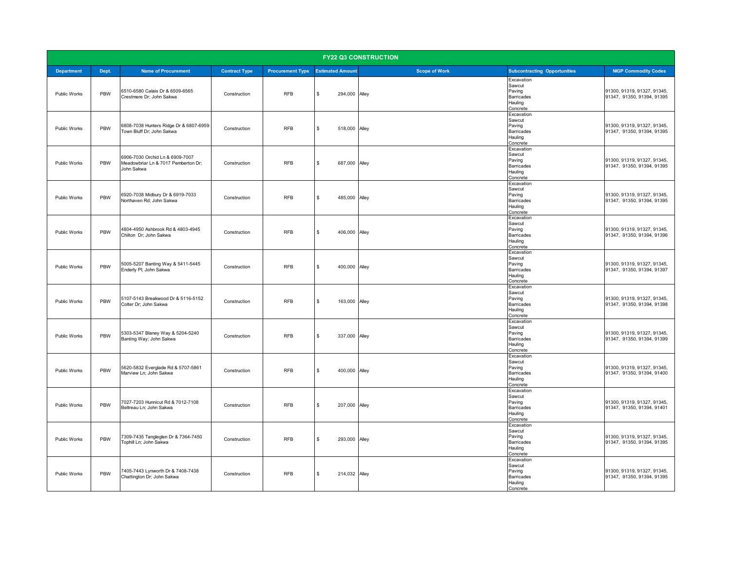| <b>FY22 Q3 CONSTRUCTION</b> |       |                                                                                      |                      |                         |                                     |                      |                                                                     |                                                           |  |
|-----------------------------|-------|--------------------------------------------------------------------------------------|----------------------|-------------------------|-------------------------------------|----------------------|---------------------------------------------------------------------|-----------------------------------------------------------|--|
| <b>Department</b>           | Dept. | <b>Name of Procurement</b>                                                           | <b>Contract Type</b> | <b>Procurement Type</b> | <b>Estimated Amount</b>             | <b>Scope of Work</b> | <b>Subcontracting Opportunities</b>                                 | <b>NIGP Commodity Codes</b>                               |  |
| Public Works                | PBW   | 6510-6580 Calais Dr & 6509-6565<br>Crestmere Dr; John Sakwa                          | Construction         | <b>RFB</b>              | \$<br>294,000 Alley                 |                      | Excavation<br>Sawcut<br>Paving<br>Barricades<br>Hauling<br>Concrete | 91300, 91319, 91327, 91345,<br>91347, 91350, 91394, 91395 |  |
| Public Works                | PBW   | 6808-7038 Hunters Ridge Dr & 6807-6959<br>Town Bluff Dr; John Sakwa                  | Construction         | <b>RFB</b>              | \$<br>518,000 Alley                 |                      | Excavation<br>Sawcut<br>Paving<br>Barricades<br>Hauling<br>Concrete | 91300, 91319, 91327, 91345.<br>91347, 91350, 91394, 91395 |  |
| Public Works                | PBW   | 6906-7030 Orchid Ln & 6909-7007<br>Meadowbriar Ln & 7017 Pemberton Dr;<br>John Sakwa | Construction         | <b>RFB</b>              | 687,000 Alley<br>$\mathbf{\hat{x}}$ |                      | Excavation<br>Sawcut<br>Paving<br>Barricades<br>Hauling<br>Concrete | 91300, 91319, 91327, 91345,<br>91347, 91350, 91394, 91395 |  |
| Public Works                | PBW   | 6920-7038 Midbury Dr & 6919-7033<br>Northaven Rd; John Sakwa                         | Construction         | <b>RFB</b>              | \$<br>485,000                       | Alley                | Excavation<br>Sawcut<br>Paving<br>Barricades<br>Hauling<br>Concrete | 91300, 91319, 91327, 91345,<br>91347, 91350, 91394, 91395 |  |
| Public Works                | PBW   | 4804-4950 Ashbrook Rd & 4803-4945<br>Chilton Dr; John Sakwa                          | Construction         | <b>RFB</b>              | \$<br>406,000                       | Alley                | Excavation<br>Sawcut<br>Paving<br>Barricades<br>Hauling<br>Concrete | 91300, 91319, 91327, 91345,<br>91347, 91350, 91394, 91396 |  |
| Public Works                | PBW   | 5005-5207 Banting Way & 5411-5445<br>Enderly Pl; John Sakwa                          | Construction         | <b>RFB</b>              | \$<br>400,000 Alley                 |                      | Excavation<br>Sawcut<br>Paving<br>Barricades<br>Hauling<br>Concrete | 91300, 91319, 91327, 91345,<br>91347, 91350, 91394, 91397 |  |
| Public Works                | PBW   | 5107-5143 Breakwood Dr & 5116-5152<br>Colter Dr; John Sakwa                          | Construction         | <b>RFB</b>              | \$<br>163,000                       | Alley                | Excavation<br>Sawcut<br>Paving<br>Barricades<br>Hauling<br>Concrete | 91300, 91319, 91327, 91345,<br>91347, 91350, 91394, 91398 |  |
| Public Works                | PBW   | 5303-5347 Blaney Way & 5204-5240<br>Banting Way; John Sakwa                          | Construction         | <b>RFB</b>              | \$<br>337,000 Alley                 |                      | Excavation<br>Sawcut<br>Paving<br>Barricades<br>Hauling<br>Concrete | 91300, 91319, 91327, 91345,<br>91347, 91350, 91394, 91399 |  |
| Public Works                | PBW   | 5620-5832 Everglade Rd & 5707-5861<br>Marview Ln; John Sakwa                         | Construction         | <b>RFB</b>              | 400,000 Alley<br>$\mathbf{s}$       |                      | Excavation<br>Sawcut<br>Paving<br>Barricades<br>Hauling<br>Concrete | 91300, 91319, 91327, 91345,<br>91347, 91350, 91394, 91400 |  |
| Public Works                | PBW   | 7027-7203 Hunnicut Rd & 7012-7108<br>Beltreau Ln; John Sakwa                         | Construction         | <b>RFB</b>              | \$<br>207,000                       | Alley                | Excavation<br>Sawcut<br>Paving<br>Barricades<br>Hauling<br>Concrete | 91300, 91319, 91327, 91345,<br>91347, 91350, 91394, 91401 |  |
| Public Works                | PBW   | 7309-7435 Tangleglen Dr & 7364-7450<br>Tophill Ln; John Sakwa                        | Construction         | <b>RFB</b>              | \$<br>293,000 Alley                 |                      | Excavation<br>Sawcut<br>Paving<br>Barricades<br>Hauling<br>Concrete | 91300, 91319, 91327, 91345,<br>91347, 91350, 91394, 91395 |  |
| <b>Public Works</b>         | PBW   | 7405-7443 Lynworth Dr & 7408-7438<br>Chattington Dr; John Sakwa                      | Construction         | <b>RFB</b>              | $\mathbb{S}$<br>214,032 Alley       |                      | Excavation<br>Sawcut<br>Paving<br>Barricades<br>Hauling<br>Concrete | 91300, 91319, 91327, 91345,<br>91347, 91350, 91394, 91395 |  |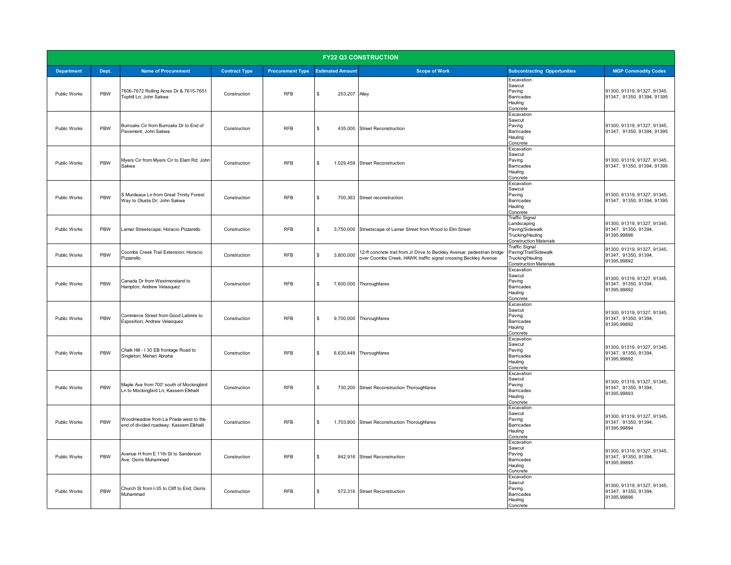|                   | <b>FY22 Q3 CONSTRUCTION</b> |                                                                                   |                      |                                          |                         |                                                                                                                                           |                                                                                                              |                                                                    |
|-------------------|-----------------------------|-----------------------------------------------------------------------------------|----------------------|------------------------------------------|-------------------------|-------------------------------------------------------------------------------------------------------------------------------------------|--------------------------------------------------------------------------------------------------------------|--------------------------------------------------------------------|
| <b>Department</b> | Dept.                       | <b>Name of Procurement</b>                                                        | <b>Contract Type</b> | <b>Procurement Type</b> Estimated Amount |                         | <b>Scope of Work</b>                                                                                                                      | <b>Subcontracting Opportunities</b>                                                                          | <b>NIGP Commodity Codes</b>                                        |
| Public Works      | PBW                         | 7606-7672 Rolling Acres Dr & 7615-7651<br>Tophill Ln; John Sakwa                  | Construction         | RFB                                      | $\mathbf{s}$<br>253,207 | Alley                                                                                                                                     | Excavation<br>Sawcut<br>Paving<br>Barricades<br>Hauling<br>Concrete                                          | 91300, 91319, 91327, 91345,<br>91347, 91350, 91394, 91395          |
| Public Works      | PBW                         | Burroaks Cir from Burroaks Dr to End of<br>Pavement; John Sakwa                   | Construction         | <b>RFB</b>                               | \$                      | 435,000 Street Reconstruction                                                                                                             | Excavation<br>Sawcut<br>Paving<br><b>Barricades</b><br>Hauling<br>Concrete                                   | 91300, 91319, 91327, 91345,<br>91347, 91350, 91394, 91395          |
| Public Works      | PBW                         | Myers Cir from Myers Cir to Elam Rd; John<br>Sakwa                                | Construction         | <b>RFB</b>                               | \$                      | 1,029,459 Street Reconstruction                                                                                                           | Excavation<br>Sawcut<br>Paving<br>Barricades<br>Hauling<br>Concrete                                          | 91300, 91319, 91327, 91345,<br>91347, 91350, 91394, 91395          |
| Public Works      | PBW                         | S Murdeaux Ln from Great Trinity Forest<br>Way to Olusta Dr; John Sakwa           | Construction         | <b>RFB</b>                               | \$<br>700,363           | Street reconstruction                                                                                                                     | Excavation<br>Sawcut<br>Paving<br><b>Barricades</b><br>Hauling<br>Concrete                                   | 91300, 91319, 91327, 91345,<br>91347, 91350, 91394, 91395          |
| Public Works      | PBW                         | Lamar Streetscape; Horacio Pizzarello                                             | Construction         | <b>RFB</b>                               | \$                      | 3,750,000 Streetscape of Lamar Street from Wood to Elm Street                                                                             | <b>Traffic Signal</b><br>Landscaping<br>Paving/Sidewalk<br>Trucking/Hauling<br><b>Construction Materials</b> | 91300, 91319, 91327, 91345,<br>91347, 91350, 91394,<br>91395,99896 |
| Public Works      | PBW                         | Coombs Creek Trail Extension; Horacio<br>Pizzarello                               | Construction         | <b>RFB</b>                               | \$<br>3,800,000         | 12-ft concrete trail from Jr Drive to Beckley Avenue: pedestrian bridge<br>over Coombs Creek, HAWK traffic signal crossing Beckley Avenue | <b>Traffic Signal</b><br>Paving/Trail/Sidewalk<br>Trucking/Hauling<br><b>Construction Materials</b>          | 91300, 91319, 91327, 91345,<br>91347, 91350, 91394,<br>91395,99892 |
| Public Works      | PBW                         | Canada Dr from Westmoreland to<br>Hampton; Andrew Velasquez                       | Construction         | <b>RFB</b>                               | $\mathbf{s}$            | 7,600,000 Thoroughfares                                                                                                                   | Excavation<br>Sawcut<br>Paving<br><b>Barricades</b><br>Hauling<br>Concrete                                   | 91300, 91319, 91327, 91345,<br>91347, 91350, 91394,<br>91395,99892 |
| Public Works      | PBW                         | Commerce Street from Good Latimre to<br>Exposition; Andrew Velasquez              | Construction         | <b>RFB</b>                               | \$                      | 9,700,000 Thoroughfares                                                                                                                   | Excavation<br>Sawcut<br>Paving<br><b>Barricades</b><br>Hauling<br>Concrete                                   | 91300, 91319, 91327, 91345,<br>91347, 91350, 91394,<br>91395,99892 |
| Public Works      | PBW                         | Chalk Hill - I 30 EB frontage Road to<br>Singleton; Mehari Abraha                 | Construction         | <b>RFB</b>                               | $\mathbf{s}$            | 6,630,449 Thoroughfares                                                                                                                   | Excavation<br>Sawcut<br>Paving<br>Barricades<br>Hauling<br>Concrete                                          | 91300, 91319, 91327, 91345,<br>91347, 91350, 91394,<br>91395,99892 |
| Public Works      | PBW                         | Maple Ave from 700' south of Mockingbird<br>Ln to Mockingbird Ln; Kassem Elkhalil | Construction         | <b>RFB</b>                               | \$                      | 730,200 Street Reconstruction Thoroughfares                                                                                               | Excavation<br>Sawcut<br>Paving<br><b>Barricades</b><br>Hauling<br>Concrete                                   | 91300, 91319, 91327, 91345,<br>91347, 91350, 91394,<br>91395,99893 |
| Public Works      | PBW                         | Woodmeadow from La Prada west to the<br>end of divided roadway; Kassem Elkhalil   | Construction         | <b>RFB</b>                               | \$                      | 1,703,800 Street Reconstruction Thoroughfares                                                                                             | Excavation<br>Sawcut<br>Paving<br>Barricades<br>Hauling<br>Concrete                                          | 91300, 91319, 91327, 91345,<br>91347, 91350, 91394,<br>91395,99894 |
| Public Works      | PBW                         | Avenue H from E 11th St to Sanderson<br>Ave; Osiris Muhammad                      | Construction         | <b>RFB</b>                               | \$                      | 842,916 Street Reconstruction                                                                                                             | Excavation<br>Sawcut<br>Paving<br>Barricades<br>Hauling<br>Concrete                                          | 91300, 91319, 91327, 91345,<br>91347, 91350, 91394,<br>91395,99895 |
| Public Works      | PBW                         | Church St from I-35 to Cliff to End; Osiris<br>Muhammad                           | Construction         | <b>RFB</b>                               | \$                      | 572,316 Street Reconstruction                                                                                                             | Excavation<br>Sawcut<br>Paving<br><b>Barricades</b><br>Hauling<br>Concrete                                   | 91300, 91319, 91327, 91345,<br>91347, 91350, 91394,<br>91395,99896 |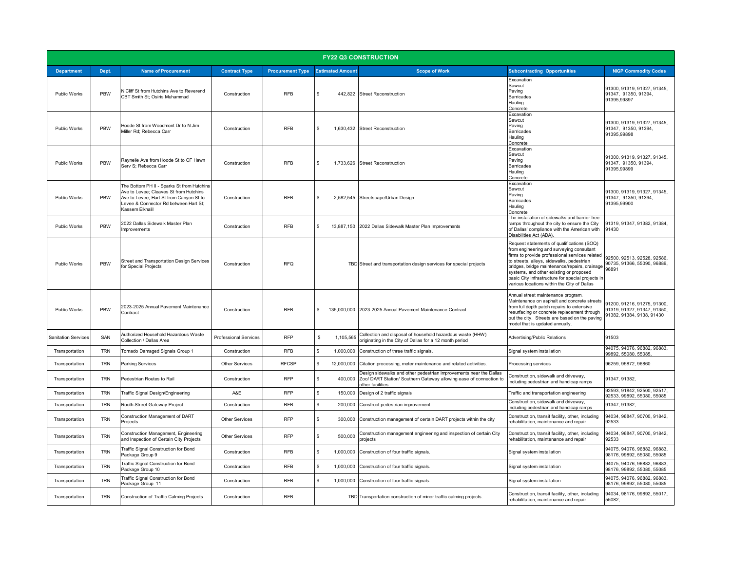| <b>FY22 Q3 CONSTRUCTION</b> |            |                                                                                                                                                                                             |                              |                                          |                               |                                                                                                                                                               |                                                                                                                                                                                                                                                                                                                                                                                        |                                                                                         |
|-----------------------------|------------|---------------------------------------------------------------------------------------------------------------------------------------------------------------------------------------------|------------------------------|------------------------------------------|-------------------------------|---------------------------------------------------------------------------------------------------------------------------------------------------------------|----------------------------------------------------------------------------------------------------------------------------------------------------------------------------------------------------------------------------------------------------------------------------------------------------------------------------------------------------------------------------------------|-----------------------------------------------------------------------------------------|
| <b>Department</b>           | Dept.      | <b>Name of Procurement</b>                                                                                                                                                                  | <b>Contract Type</b>         | <b>Procurement Type Estimated Amount</b> |                               | <b>Scope of Work</b>                                                                                                                                          | <b>Subcontracting Opportunities</b>                                                                                                                                                                                                                                                                                                                                                    | <b>NIGP Commodity Codes</b>                                                             |
| Public Works                | <b>PBW</b> | N Cliff St from Hutchins Ave to Reverend<br>CBT Smith St; Osiris Muhammad                                                                                                                   | Construction                 | <b>RFB</b>                               | $\mathbf{s}$<br>442,822       | <b>Street Reconstruction</b>                                                                                                                                  | Excavation<br>Sawcut<br>Paving<br>Barricades<br>Hauling<br>Concrete                                                                                                                                                                                                                                                                                                                    | 91300, 91319, 91327, 91345,<br>91347, 91350, 91394,<br>91395,99897                      |
| Public Works                | PBW        | Hoode St from Woodmont Dr to N Jim<br>Miller Rd; Rebecca Carr                                                                                                                               | Construction                 | <b>RFB</b>                               | $\mathbf{s}$                  | 1,630,432 Street Reconstruction                                                                                                                               | Excavation<br>Sawcut<br>Paving<br>Barricades<br>Hauling<br>Concrete                                                                                                                                                                                                                                                                                                                    | 91300, 91319, 91327, 91345,<br>91347, 91350, 91394,<br>91395,99898                      |
| Public Works                | PBW        | Raynelle Ave from Hoode St to CF Hawn<br>Serv S; Rebecca Carr                                                                                                                               | Construction                 | <b>RFB</b>                               | $\mathbf{s}$                  | 1.733.626 Street Reconstruction                                                                                                                               | Excavation<br>Sawcut<br>Paving<br>Barricades<br>Hauling<br>Concrete                                                                                                                                                                                                                                                                                                                    | 91300, 91319, 91327, 91345,<br>91347, 91350, 91394,<br>91395,99899                      |
| Public Works                | PBW        | The Bottom PH II - Sparks St from Hutchins<br>Ave to Levee; Cleaves St from Hutchins<br>Ave to Levee; Hart St from Canyon St to<br>Levee & Connector Rd between Hart St;<br>Kassem Elkhalil | Construction                 | <b>RFB</b>                               | $\mathbf{s}$                  | 2,582,545 Streetscape/Urban Design                                                                                                                            | Excavation<br>Sawcut<br>Paving<br>Barricades<br>Hauling<br>Concrete                                                                                                                                                                                                                                                                                                                    | 91300, 91319, 91327, 91345,<br>91347, 91350, 91394,<br>91395,99900                      |
| Public Works                | PBW        | 2022 Dallas Sidewalk Master Plan<br>Improvements                                                                                                                                            | Construction                 | <b>RFB</b>                               | \$                            | 13,887,150 2022 Dallas Sidewalk Master Plan Improvements                                                                                                      | The installation of sidewalks and barrier free<br>ramps throughout the city to ensure the City<br>of Dallas' compliance with the American with<br>Disabilities Act (ADA)                                                                                                                                                                                                               | 91319, 91347, 91382, 91384,<br>91430                                                    |
| Public Works                | PBW        | Street and Transportation Design Services<br>for Special Projects                                                                                                                           | Construction                 | <b>RFQ</b>                               |                               | TBD Street and transportation design services for special projects                                                                                            | Request statements of qualifications (SOQ)<br>from engineering and surveying consultant<br>firms to provide professional services related<br>to streets, alleys, sidewalks, pedestrian<br>bridges, bridge maintenance/repairs, drainage<br>systems, and other existing or proposed<br>basic City infrastructure for special projects in<br>various locations within the City of Dallas | 92500, 92513, 92528, 92586,<br>90735, 91366, 55090, 96889,<br>96891                     |
| Public Works                | PBW        | 2023-2025 Annual Pavement Maintenance<br>Contract                                                                                                                                           | Construction                 | <b>RFB</b>                               | $\mathbf{\hat{z}}$            | 135,000,000 2023-2025 Annual Pavement Maintenance Contract                                                                                                    | Annual street maintenance program.<br>Maintenance on asphalt and concrete streets<br>from full depth patch repairs to extensive<br>resurfacing or concrete replacement through<br>out the city. Streets are based on the paving<br>model that is updated annually.                                                                                                                     | 91200, 91216, 91275, 91300,<br>91319, 91327, 91347, 91350,<br>91382, 91384, 9138, 91430 |
| <b>Sanitation Services</b>  | SAN        | Authorized Household Hazardous Waste<br>Collection / Dallas Area                                                                                                                            | <b>Professional Services</b> | <b>RFP</b>                               | \$<br>1,105,565               | Collection and disposal of household hazardous waste (HHW)<br>originating in the City of Dallas for a 12 month period                                         | Advertising/Public Relations                                                                                                                                                                                                                                                                                                                                                           | 91503                                                                                   |
| Transportation              | <b>TRN</b> | Tornado Damaged Signals Group 1                                                                                                                                                             | Construction                 | <b>RFB</b>                               | \$<br>1,000,000               | Construction of three traffic signals.                                                                                                                        | Signal system installation                                                                                                                                                                                                                                                                                                                                                             | 94075, 94076, 96882, 96883,<br>99892, 55080, 55085,                                     |
| Transportation              | <b>TRN</b> | <b>Parking Services</b>                                                                                                                                                                     | <b>Other Services</b>        | <b>RFCSP</b>                             | \$<br>12,000,000              | Citation processing, meter maintenance and related activities.                                                                                                | Processing services                                                                                                                                                                                                                                                                                                                                                                    | 96259, 95872, 96860                                                                     |
| Transportation              | <b>TRN</b> | Pedestrian Routes to Rail                                                                                                                                                                   | Construction                 | <b>RFP</b>                               | \$<br>400,000                 | Design sidewalks and other pedestrian improvements near the Dallas<br>Zoo/ DART Station/ Southern Gateway allowing ease of connection to<br>other facilities. | Construction, sidewalk and driveway,<br>including pedestrian and handicap ramps                                                                                                                                                                                                                                                                                                        | 91347, 91382,                                                                           |
| Transportation              | <b>TRN</b> | Traffic Signal Design/Engineering                                                                                                                                                           | A&E                          | <b>RFP</b>                               | $\mathbf{\hat{x}}$<br>150,000 | Design of 2 traffic signals                                                                                                                                   | Traffic and transportation engineering                                                                                                                                                                                                                                                                                                                                                 | 92593, 91842, 92500, 92517,<br>92533, 99892, 55080, 55085                               |
| Transportation              | TRN        | Routh Street Gateway Project                                                                                                                                                                | Construction                 | <b>RFB</b>                               | \$<br>200,000                 | Construct pedestrian improvement                                                                                                                              | Construction, sidewalk and driveway,<br>including pedestrian and handicap ramps                                                                                                                                                                                                                                                                                                        | 91347, 91382,                                                                           |
| Transportation              | <b>TRN</b> | Construction Management of DART<br>Projects                                                                                                                                                 | <b>Other Services</b>        | <b>RFP</b>                               | \$<br>300,000                 | Construction management of certain DART projects within the city                                                                                              | Construction, transit facility, other, including<br>rehabilitation, maintenance and repair                                                                                                                                                                                                                                                                                             | 94034, 96847, 90700, 91842,<br>92533                                                    |
| Transportation              | TRN        | Construction Management, Engineering<br>and Inspection of Certain City Projects                                                                                                             | <b>Other Services</b>        | <b>RFP</b>                               | \$<br>500,000                 | Construction management engineering and inspection of certain City<br>projects                                                                                | Construction, transit facility, other, including<br>rehabilitation, maintenance and repair                                                                                                                                                                                                                                                                                             | 94034, 96847, 90700, 91842,<br>92533                                                    |
| Transportation              | <b>TRN</b> | Traffic Signal Construction for Bond<br>Package Group 9                                                                                                                                     | Construction                 | <b>RFB</b>                               | \$.<br>1,000,000              | Construction of four traffic signals.                                                                                                                         | Signal system installation                                                                                                                                                                                                                                                                                                                                                             | 94075.94076.96882.96883.<br>98176, 99892, 55080, 55085                                  |
| Transportation              | <b>TRN</b> | Traffic Signal Construction for Bond<br>Package Group 10                                                                                                                                    | Construction                 | <b>RFB</b>                               | \$<br>1,000,000               | Construction of four traffic signals.                                                                                                                         | Signal system installation                                                                                                                                                                                                                                                                                                                                                             | 94075, 94076, 96882, 96883,<br>98176, 99892, 55080, 55085                               |
| Transportation              | <b>TRN</b> | Traffic Signal Construction for Bond<br>Package Group 11                                                                                                                                    | Construction                 | <b>RFB</b>                               | \$<br>1,000,000               | Construction of four traffic signals.                                                                                                                         | Signal system installation                                                                                                                                                                                                                                                                                                                                                             | 94075, 94076, 96882, 96883,<br>98176, 99892, 55080, 55085                               |
| Transportation              | <b>TRN</b> | Construction of Traffic Calming Projects                                                                                                                                                    | Construction                 | <b>RFB</b>                               |                               | TBD Transportation construction of minor traffic calming projects.                                                                                            | Construction, transit facility, other, including<br>rehabilitation, maintenance and repair                                                                                                                                                                                                                                                                                             | 94034, 98176, 99892, 55017,<br>55082.                                                   |